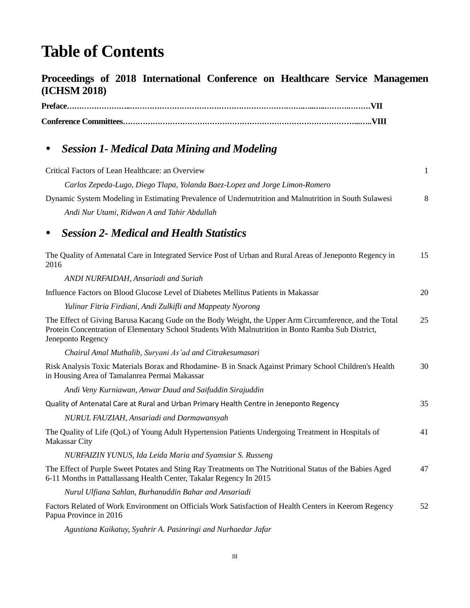## **Table of Contents**

## **Proceedings of 2018 International Conference on Healthcare Service Managemen (ICHSM 2018)**

## *Session 1- Medical Data Mining and Modeling*

| Critical Factors of Lean Healthcare: an Overview                                                                                                                                                                                  | $\mathbf{1}$ |
|-----------------------------------------------------------------------------------------------------------------------------------------------------------------------------------------------------------------------------------|--------------|
| Carlos Zepeda-Lugo, Diego Tlapa, Yolanda Baez-Lopez and Jorge Limon-Romero                                                                                                                                                        |              |
| Dynamic System Modeling in Estimating Prevalence of Undernutrition and Malnutrition in South Sulawesi                                                                                                                             | 8            |
| Andi Nur Utami, Ridwan A and Tahir Abdullah                                                                                                                                                                                       |              |
| <b>Session 2- Medical and Health Statistics</b>                                                                                                                                                                                   |              |
| The Quality of Antenatal Care in Integrated Service Post of Urban and Rural Areas of Jeneponto Regency in<br>2016                                                                                                                 | 15           |
| ANDI NURFAIDAH, Ansariadi and Suriah                                                                                                                                                                                              |              |
| Influence Factors on Blood Glucose Level of Diabetes Mellitus Patients in Makassar                                                                                                                                                | 20           |
| Yulinar Fitria Firdiani, Andi Zulkifli and Mappeaty Nyorong                                                                                                                                                                       |              |
| The Effect of Giving Barusa Kacang Gude on the Body Weight, the Upper Arm Circumference, and the Total<br>Protein Concentration of Elementary School Students With Malnutrition in Bonto Ramba Sub District,<br>Jeneponto Regency | 25           |
| Chairul Amal Muthalib, Suryani As'ad and Citrakesumasari                                                                                                                                                                          |              |
| Risk Analysis Toxic Materials Borax and Rhodamine- B in Snack Against Primary School Children's Health<br>in Housing Area of Tamalanrea Permai Makassar                                                                           | 30           |
| Andi Veny Kurniawan, Anwar Daud and Saifuddin Sirajuddin                                                                                                                                                                          |              |
| Quality of Antenatal Care at Rural and Urban Primary Health Centre in Jeneponto Regency                                                                                                                                           | 35           |
| NURUL FAUZIAH, Ansariadi and Darmawansyah                                                                                                                                                                                         |              |
| The Quality of Life (QoL) of Young Adult Hypertension Patients Undergoing Treatment in Hospitals of<br>Makassar City                                                                                                              | 41           |
| NURFAIZIN YUNUS, Ida Leida Maria and Syamsiar S. Russeng                                                                                                                                                                          |              |
| The Effect of Purple Sweet Potates and Sting Ray Treatments on The Nutritional Status of the Babies Aged<br>6-11 Months in Pattallassang Health Center, Takalar Regency In 2015                                                   | 47           |
| Nurul Ulfiana Sahlan, Burhanuddin Bahar and Ansariadi                                                                                                                                                                             |              |
| Factors Related of Work Environment on Officials Work Satisfaction of Health Centers in Keerom Regency<br>Papua Province in 2016                                                                                                  | 52           |

*Agustiana Kaikatuy, Syahrir A. Pasinringi and Nurhaedar Jafar*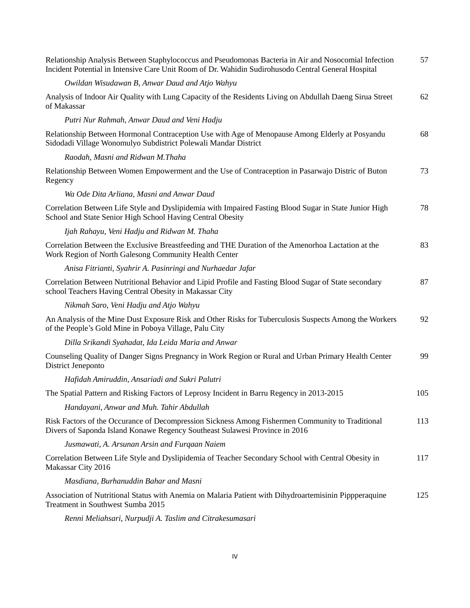| Relationship Analysis Between Staphylococcus and Pseudomonas Bacteria in Air and Nosocomial Infection<br>Incident Potential in Intensive Care Unit Room of Dr. Wahidin Sudirohusodo Central General Hospital | 57  |
|--------------------------------------------------------------------------------------------------------------------------------------------------------------------------------------------------------------|-----|
| Owildan Wisudawan B, Anwar Daud and Atjo Wahyu                                                                                                                                                               |     |
| Analysis of Indoor Air Quality with Lung Capacity of the Residents Living on Abdullah Daeng Sirua Street<br>of Makassar                                                                                      | 62  |
| Putri Nur Rahmah, Anwar Daud and Veni Hadju                                                                                                                                                                  |     |
| Relationship Between Hormonal Contraception Use with Age of Menopause Among Elderly at Posyandu<br>Sidodadi Village Wonomulyo Subdistrict Polewali Mandar District                                           | 68  |
| Raodah, Masni and Ridwan M.Thaha                                                                                                                                                                             |     |
| Relationship Between Women Empowerment and the Use of Contraception in Pasarwajo Distric of Buton<br>Regency                                                                                                 | 73  |
| Wa Ode Dita Arliana, Masni and Anwar Daud                                                                                                                                                                    |     |
| Correlation Between Life Style and Dyslipidemia with Impaired Fasting Blood Sugar in State Junior High<br>School and State Senior High School Having Central Obesity                                         | 78  |
| Ijah Rahayu, Veni Hadju and Ridwan M. Thaha                                                                                                                                                                  |     |
| Correlation Between the Exclusive Breastfeeding and THE Duration of the Amenorhoa Lactation at the<br>Work Region of North Galesong Community Health Center                                                  | 83  |
| Anisa Fitrianti, Syahrir A. Pasinringi and Nurhaedar Jafar                                                                                                                                                   |     |
| Correlation Between Nutritional Behavior and Lipid Profile and Fasting Blood Sugar of State secondary<br>school Teachers Having Central Obesity in Makassar City                                             | 87  |
| Nikmah Saro, Veni Hadju and Atjo Wahyu                                                                                                                                                                       |     |
| An Analysis of the Mine Dust Exposure Risk and Other Risks for Tuberculosis Suspects Among the Workers<br>of the People's Gold Mine in Poboya Village, Palu City                                             | 92  |
| Dilla Srikandi Syahadat, Ida Leida Maria and Anwar                                                                                                                                                           |     |
| Counseling Quality of Danger Signs Pregnancy in Work Region or Rural and Urban Primary Health Center<br>District Jeneponto                                                                                   | 99  |
| Hafidah Amiruddin, Ansariadi and Sukri Palutri                                                                                                                                                               |     |
| The Spatial Pattern and Risking Factors of Leprosy Incident in Barru Regency in 2013-2015                                                                                                                    | 105 |
| Handayani, Anwar and Muh. Tahir Abdullah                                                                                                                                                                     |     |
| Risk Factors of the Occurance of Decompression Sickness Among Fishermen Community to Traditional<br>Divers of Saponda Island Konawe Regency Southeast Sulawesi Province in 2016                              | 113 |
| Jusmawati, A. Arsunan Arsin and Furgaan Naiem                                                                                                                                                                |     |
| Correlation Between Life Style and Dyslipidemia of Teacher Secondary School with Central Obesity in<br>Makassar City 2016                                                                                    | 117 |
| Masdiana, Burhanuddin Bahar and Masni                                                                                                                                                                        |     |
| Association of Nutritional Status with Anemia on Malaria Patient with Dihydroartemisinin Pippperaquine<br>Treatment in Southwest Sumba 2015                                                                  | 125 |
| Renni Meliahsari, Nurpudji A. Taslim and Citrakesumasari                                                                                                                                                     |     |

IV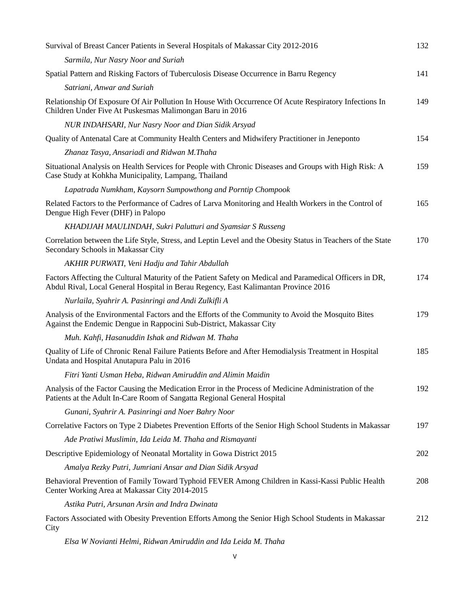| Survival of Breast Cancer Patients in Several Hospitals of Makassar City 2012-2016                                                                                                              | 132 |
|-------------------------------------------------------------------------------------------------------------------------------------------------------------------------------------------------|-----|
| Sarmila, Nur Nasry Noor and Suriah                                                                                                                                                              |     |
| Spatial Pattern and Risking Factors of Tuberculosis Disease Occurrence in Barru Regency                                                                                                         | 141 |
| Satriani, Anwar and Suriah                                                                                                                                                                      |     |
| Relationship Of Exposure Of Air Pollution In House With Occurrence Of Acute Respiratory Infections In<br>Children Under Five At Puskesmas Malimongan Baru in 2016                               | 149 |
| NUR INDAHSARI, Nur Nasry Noor and Dian Sidik Arsyad                                                                                                                                             |     |
| Quality of Antenatal Care at Community Health Centers and Midwifery Practitioner in Jeneponto                                                                                                   | 154 |
| Zhanaz Tasya, Ansariadi and Ridwan M.Thaha                                                                                                                                                      |     |
| Situational Analysis on Health Services for People with Chronic Diseases and Groups with High Risk: A<br>Case Study at Kohkha Municipality, Lampang, Thailand                                   | 159 |
| Lapatrada Numkham, Kaysorn Sumpowthong and Porntip Chompook                                                                                                                                     |     |
| Related Factors to the Performance of Cadres of Larva Monitoring and Health Workers in the Control of<br>Dengue High Fever (DHF) in Palopo                                                      | 165 |
| KHADIJAH MAULINDAH, Sukri Palutturi and Syamsiar S Russeng                                                                                                                                      |     |
| Correlation between the Life Style, Stress, and Leptin Level and the Obesity Status in Teachers of the State<br>Secondary Schools in Makassar City                                              | 170 |
| AKHIR PURWATI, Veni Hadju and Tahir Abdullah                                                                                                                                                    |     |
| Factors Affecting the Cultural Maturity of the Patient Safety on Medical and Paramedical Officers in DR,<br>Abdul Rival, Local General Hospital in Berau Regency, East Kalimantan Province 2016 | 174 |
| Nurlaila, Syahrir A. Pasinringi and Andi Zulkifli A                                                                                                                                             |     |
| Analysis of the Environmental Factors and the Efforts of the Community to Avoid the Mosquito Bites<br>Against the Endemic Dengue in Rappocini Sub-District, Makassar City                       | 179 |
| Muh. Kahfi, Hasanuddin Ishak and Ridwan M. Thaha                                                                                                                                                |     |
| Quality of Life of Chronic Renal Failure Patients Before and After Hemodialysis Treatment in Hospital<br>Undata and Hospital Anutapura Palu in 2016                                             | 185 |
| Fitri Yanti Usman Heba, Ridwan Amiruddin and Alimin Maidin                                                                                                                                      |     |
| Analysis of the Factor Causing the Medication Error in the Process of Medicine Administration of the<br>Patients at the Adult In-Care Room of Sangatta Regional General Hospital                | 192 |
| Gunani, Syahrir A. Pasinringi and Noer Bahry Noor                                                                                                                                               |     |
| Correlative Factors on Type 2 Diabetes Prevention Efforts of the Senior High School Students in Makassar                                                                                        | 197 |
| Ade Pratiwi Muslimin, Ida Leida M. Thaha and Rismayanti                                                                                                                                         |     |
| Descriptive Epidemiology of Neonatal Mortality in Gowa District 2015                                                                                                                            | 202 |
| Amalya Rezky Putri, Jumriani Ansar and Dian Sidik Arsyad                                                                                                                                        |     |
| Behavioral Prevention of Family Toward Typhoid FEVER Among Children in Kassi-Kassi Public Health<br>Center Working Area at Makassar City 2014-2015                                              | 208 |
| Astika Putri, Arsunan Arsin and Indra Dwinata                                                                                                                                                   |     |
| Factors Associated with Obesity Prevention Efforts Among the Senior High School Students in Makassar<br>City                                                                                    | 212 |
| $Flax$ W Noviguti Holmi, Didwan Aminuddin and Ida Loida M. Thabo                                                                                                                                |     |

*Elsa W Novianti Helmi, Ridwan Amiruddin and Ida Leida M. Thaha*